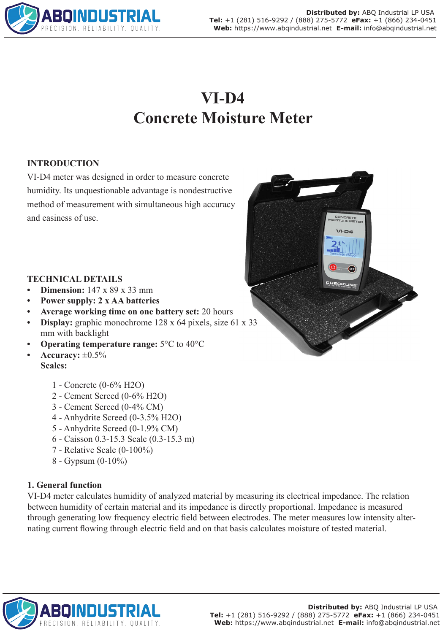

# **VI-D4 Concrete Moisture Meter**

## **INTRODUCTION**

VI-D4 meter was designed in order to measure concrete humidity. Its unquestionable advantage is nondestructive method of measurement with simultaneous high accuracy and easiness of use.



## **TECHNICAL DETAILS**

- **• Dimension:** 147 x 89 x 33 mm
- **• Power supply: 2 x AA batteries**
- **• Average working time on one battery set:** 20 hours
- **Display:** graphic monochrome 128 x 64 pixels, size 61 x 33 mm with backlight
- **• Operating temperature range:** 5°C to 40°C
- **• Accuracy:** ±0.5% **Scales:**
	- 1 Concrete (0-6% H2O)
	- 2 Cement Screed (0-6% H2O)
	- 3 Cement Screed (0-4% CM)
	- 4 Anhydrite Screed (0-3.5% H2O)
	- 5 Anhydrite Screed (0-1.9% CM)
	- 6 Caisson 0.3-15.3 Scale (0.3-15.3 m)
	- 7 Relative Scale (0-100%)
	- 8 Gypsum (0-10%)

## **1. General function**

VI-D4 meter calculates humidity of analyzed material by measuring its electrical impedance. The relation between humidity of certain material and its impedance is directly proportional. Impedance is measured through generating low frequency electric field between electrodes. The meter measures low intensity alternating current flowing through electric field and on that basis calculates moisture of tested material.